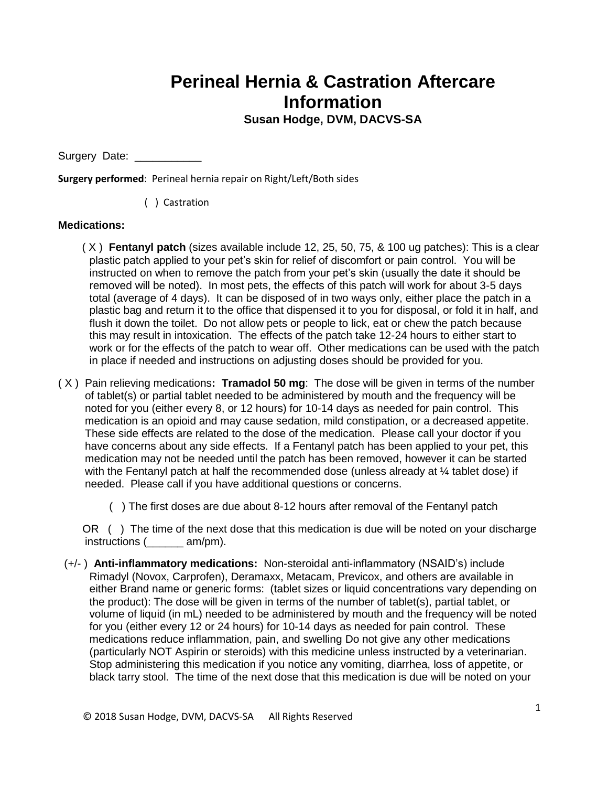## **Perineal Hernia & Castration Aftercare Information**

## **Susan Hodge, DVM, DACVS-SA**

Surgery Date:

**Surgery performed**: Perineal hernia repair on Right/Left/Both sides

( ) Castration

## **Medications:**

 ( X ) **Fentanyl patch** (sizes available include 12, 25, 50, 75, & 100 ug patches): This is a clear plastic patch applied to your pet's skin for relief of discomfort or pain control. You will be instructed on when to remove the patch from your pet's skin (usually the date it should be removed will be noted). In most pets, the effects of this patch will work for about 3-5 days total (average of 4 days). It can be disposed of in two ways only, either place the patch in a plastic bag and return it to the office that dispensed it to you for disposal, or fold it in half, and flush it down the toilet. Do not allow pets or people to lick, eat or chew the patch because this may result in intoxication. The effects of the patch take 12-24 hours to either start to work or for the effects of the patch to wear off. Other medications can be used with the patch in place if needed and instructions on adjusting doses should be provided for you.

- ( X ) Pain relieving medications**: Tramadol 50 mg**: The dose will be given in terms of the number of tablet(s) or partial tablet needed to be administered by mouth and the frequency will be noted for you (either every 8, or 12 hours) for 10-14 days as needed for pain control. This medication is an opioid and may cause sedation, mild constipation, or a decreased appetite. These side effects are related to the dose of the medication. Please call your doctor if you have concerns about any side effects. If a Fentanyl patch has been applied to your pet, this medication may not be needed until the patch has been removed, however it can be started with the Fentanyl patch at half the recommended dose (unless already at ¼ tablet dose) if needed. Please call if you have additional questions or concerns.
	- ( ) The first doses are due about 8-12 hours after removal of the Fentanyl patch

 OR ( ) The time of the next dose that this medication is due will be noted on your discharge instructions (\_\_\_\_\_\_ am/pm).

 (+/- ) **Anti-inflammatory medications:** Non-steroidal anti-inflammatory (NSAID's) include Rimadyl (Novox, Carprofen), Deramaxx, Metacam, Previcox, and others are available in either Brand name or generic forms: (tablet sizes or liquid concentrations vary depending on the product): The dose will be given in terms of the number of tablet(s), partial tablet, or volume of liquid (in mL) needed to be administered by mouth and the frequency will be noted for you (either every 12 or 24 hours) for 10-14 days as needed for pain control. These medications reduce inflammation, pain, and swelling Do not give any other medications (particularly NOT Aspirin or steroids) with this medicine unless instructed by a veterinarian. Stop administering this medication if you notice any vomiting, diarrhea, loss of appetite, or black tarry stool. The time of the next dose that this medication is due will be noted on your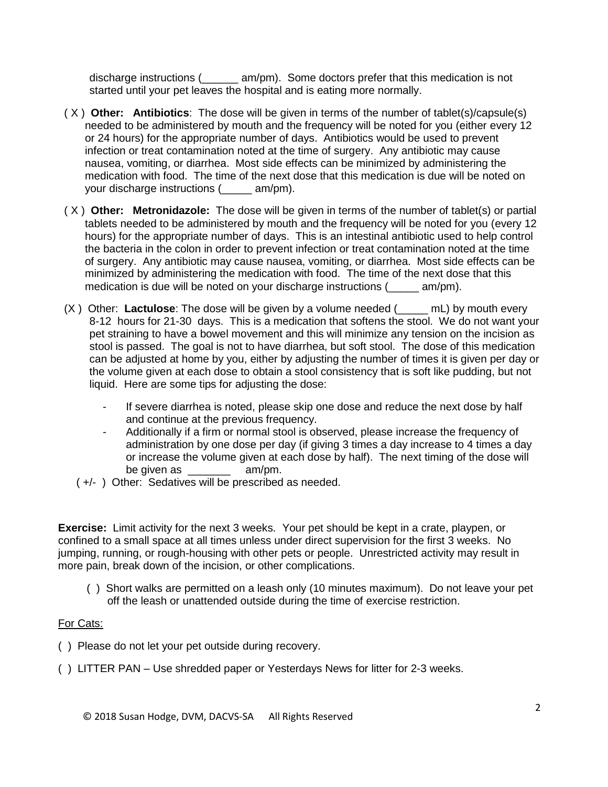discharge instructions (\_\_\_\_\_\_ am/pm). Some doctors prefer that this medication is not started until your pet leaves the hospital and is eating more normally.

- ( X ) **Other: Antibiotics**: The dose will be given in terms of the number of tablet(s)/capsule(s) needed to be administered by mouth and the frequency will be noted for you (either every 12 or 24 hours) for the appropriate number of days. Antibiotics would be used to prevent infection or treat contamination noted at the time of surgery. Any antibiotic may cause nausea, vomiting, or diarrhea. Most side effects can be minimized by administering the medication with food. The time of the next dose that this medication is due will be noted on your discharge instructions (\_\_\_\_\_ am/pm).
- ( X ) **Other: Metronidazole:** The dose will be given in terms of the number of tablet(s) or partial tablets needed to be administered by mouth and the frequency will be noted for you (every 12 hours) for the appropriate number of days. This is an intestinal antibiotic used to help control the bacteria in the colon in order to prevent infection or treat contamination noted at the time of surgery. Any antibiotic may cause nausea, vomiting, or diarrhea. Most side effects can be minimized by administering the medication with food. The time of the next dose that this medication is due will be noted on your discharge instructions (exam/pm).
- (X ) Other: **Lactulose**: The dose will be given by a volume needed (\_\_\_\_\_ mL) by mouth every 8-12 hours for 21-30 days. This is a medication that softens the stool. We do not want your pet straining to have a bowel movement and this will minimize any tension on the incision as stool is passed. The goal is not to have diarrhea, but soft stool. The dose of this medication can be adjusted at home by you, either by adjusting the number of times it is given per day or the volume given at each dose to obtain a stool consistency that is soft like pudding, but not liquid. Here are some tips for adjusting the dose:
	- If severe diarrhea is noted, please skip one dose and reduce the next dose by half and continue at the previous frequency.
	- Additionally if a firm or normal stool is observed, please increase the frequency of administration by one dose per day (if giving 3 times a day increase to 4 times a day or increase the volume given at each dose by half). The next timing of the dose will be given as  $am/m$ .
	- ( +/- ) Other: Sedatives will be prescribed as needed.

**Exercise:** Limit activity for the next 3 weeks. Your pet should be kept in a crate, playpen, or confined to a small space at all times unless under direct supervision for the first 3 weeks. No jumping, running, or rough-housing with other pets or people. Unrestricted activity may result in more pain, break down of the incision, or other complications.

 ( ) Short walks are permitted on a leash only (10 minutes maximum). Do not leave your pet off the leash or unattended outside during the time of exercise restriction.

## For Cats:

- ( ) Please do not let your pet outside during recovery.
- ( ) LITTER PAN Use shredded paper or Yesterdays News for litter for 2-3 weeks.